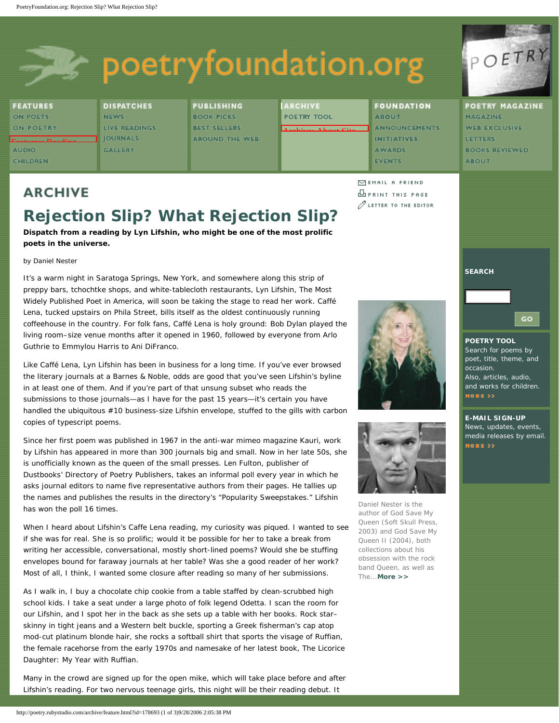## poetryfoundation.org

**FEATURES ON POETS ON POETRY** [Features: Reading](http://poetry.rubystudio.com/features/guidebook.html)  **AUDIO<br>CHILDREN** 

**DISPATCHES NEWS LIVE READINGS JOURNALS GALLERY** 

**PUBLISHING BOOK PICKS BEST SELLERS AROUND THE WEB**  **ARCHIVE POETRY TOOL** 

[Archive: About Site](http://poetry.rubystudio.com/archive/about.html)

**FOUNDATION ABOUT ANNOUNCEMENTS INITIATIVES AWARDS EVENTS** 

 $\Box$ EMAIL A FRIEND

**DPRINT THIS PAGE**  $\mathscr{O}$  letter to the editor POETRY

**POETRY MAGAZINE MAGAZINE WEB EXCLUSIVE LETTERS BOOKS REVIEWED ABOUT** 

## **ARCHIVE**

## **Rejection Slip? What Rejection Slip?**

**Dispatch from a reading by Lyn Lifshin, who might be one of the most prolific poets in the universe.**

by Daniel Nester

It's a warm night in Saratoga Springs, New York, and somewhere along this strip of preppy bars, tchochtke shops, and white-tablecloth restaurants, Lyn Lifshin, The Most Widely Published Poet in America, will soon be taking the stage to read her work. Caffé Lena, tucked upstairs on Phila Street, bills itself as the oldest continuously running coffeehouse in the country. For folk fans, Caffé Lena is holy ground: Bob Dylan played the living room–size venue months after it opened in 1960, followed by everyone from Arlo Guthrie to Emmylou Harris to Ani DiFranco.

Like Caffé Lena, Lyn Lifshin has been in business for a long time. If you've ever browsed the literary journals at a Barnes & Noble, odds are good that you've seen Lifshin's byline in at least one of them. And if you're part of that unsung subset who reads the submissions to those journals—as I have for the past 15 years—it's certain you have handled the ubiquitous #10 business-size Lifshin envelope, stuffed to the gills with carbon copies of typescript poems.

Since her first poem was published in 1967 in the anti-war mimeo magazine *Kauri,* work by Lifshin has appeared in more than 300 journals big and small. Now in her late 50s, she is unofficially known as the queen of the small presses. Len Fulton, publisher of Dustbooks' *Directory of Poetry Publishers,* takes an informal poll every year in which he asks journal editors to name five representative authors from their pages. He tallies up the names and publishes the results in the directory's "Popularity Sweepstakes." Lifshin has won the poll 16 times.

When I heard about Lifshin's Caffe Lena reading, my curiosity was piqued. I wanted to see if she was for real. She is so prolific; would it be possible for her to take a break from writing her accessible, conversational, mostly short-lined poems? Would she be stuffing envelopes bound for faraway journals at her table? Was she a good reader of her work? Most of all, I think, I wanted some closure after reading so many of her submissions.

As I walk in, I buy a chocolate chip cookie from a table staffed by clean-scrubbed high school kids. I take a seat under a large photo of folk legend Odetta. I scan the room for our Lifshin, and I spot her in the back as she sets up a table with her books. Rock star– skinny in tight jeans and a Western belt buckle, sporting a Greek fisherman's cap atop mod-cut platinum blonde hair, she rocks a softball shirt that sports the visage of Ruffian, the female racehorse from the early 1970s and namesake of her latest book, *The Licorice Daughter: My Year with Ruffian.* 

Many in the crowd are signed up for the open mike, which will take place before and after Lifshin's reading. For two nervous teenage girls, this night will be their reading debut. It





Daniel Nester is the author of *God Save My Queen* (Soft Skull Press, 2003) and *God Save My Queen II* (2004), both collections about his obsession with the rock band Queen, as well as *The...[More >>](http://poetry.rubystudio.com/archive/poet.html?id=82100)*

**SEARCH**

GO

## **POETRY TOOL** Search for poems by poet, title, theme, and occasion. Also, articles, audio, and works for children. MORE >>

**E-MAIL SIGN-UP** News, updates, events, media releases by email. MORE >>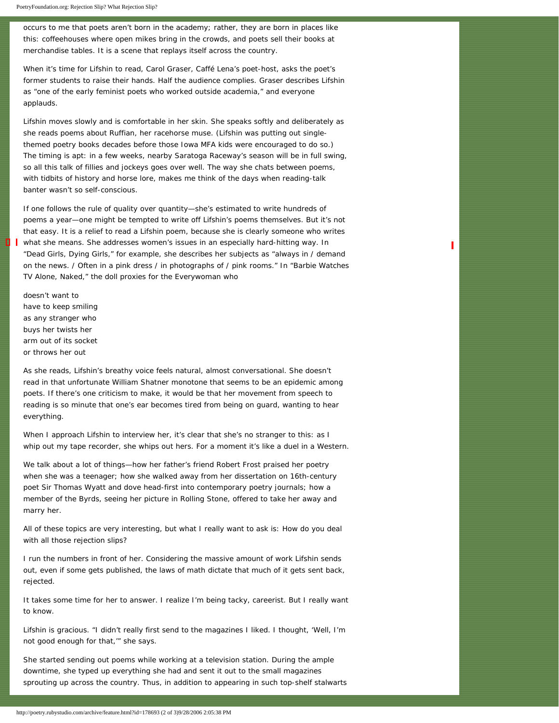PoetryFoundation.org: Rejection Slip? What Rejection Slip?

occurs to me that poets aren't born in the academy; rather, they are born in places like this: coffeehouses where open mikes bring in the crowds, and poets sell their books at merchandise tables. It is a scene that replays itself across the country.

When it's time for Lifshin to read, Carol Graser, Caffé Lena's poet-host, asks the poet's former students to raise their hands. Half the audience complies. Graser describes Lifshin as "one of the early feminist poets who worked outside academia," and everyone applauds.

Lifshin moves slowly and is comfortable in her skin. She speaks softly and deliberately as she reads poems about Ruffian, her racehorse muse. (Lifshin was putting out singlethemed poetry books decades before those Iowa MFA kids were encouraged to do so.) The timing is apt: in a few weeks, nearby Saratoga Raceway's season will be in full swing, so all this talk of fillies and jockeys goes over well. The way she chats between poems, with tidbits of history and horse lore, makes me think of the days when reading-talk banter wasn't so self-conscious.

If one follows the rule of quality over quantity—she's estimated to write hundreds of poems a year—one might be tempted to write off Lifshin's poems themselves. But it's not that easy. It is a relief to read a Lifshin poem, because she is clearly someone who writes what she means. She addresses women's issues in an especially hard-hitting way. In "Dead Girls, Dying Girls," for example, she describes her subjects as "always in / demand on the news. / Often in a pink dress / in photographs of / pink rooms." In "Barbie Watches TV Alone, Naked," the doll proxies for the Everywoman who

ı

doesn't want to have to keep smiling as any stranger who buys her twists her arm out of its socket or throws her out

Ð.

As she reads, Lifshin's breathy voice feels natural, almost conversational. She doesn't read in that unfortunate William Shatner monotone that seems to be an epidemic among poets. If there's one criticism to make, it would be that her movement from speech to reading is so minute that one's ear becomes tired from being on guard, wanting to hear everything.

When I approach Lifshin to interview her, it's clear that she's no stranger to this: as I whip out my tape recorder, she whips out hers. For a moment it's like a duel in a Western.

We talk about a lot of things—how her father's friend Robert Frost praised her poetry when she was a teenager; how she walked away from her dissertation on 16th-century poet Sir Thomas Wyatt and dove head-first into contemporary poetry journals; how a member of the Byrds, seeing her picture in *Rolling Stone,* offered to take her away and marry her.

All of these topics are very interesting, but what I really want to ask is: *How do you deal with all those rejection slips?*

I run the numbers in front of her. Considering the massive amount of work Lifshin sends out, even if some gets published, the laws of math dictate that much of it gets sent back, rejected.

It takes some time for her to answer. I realize I'm being tacky, careerist. But I really want to know.

Lifshin is gracious. "I didn't really first send to the magazines I liked. I thought, 'Well, I'm not good enough for that,'" she says.

She started sending out poems while working at a television station. During the ample downtime, she typed up everything she had and sent it out to the small magazines sprouting up across the country. Thus, in addition to appearing in such top-shelf stalwarts